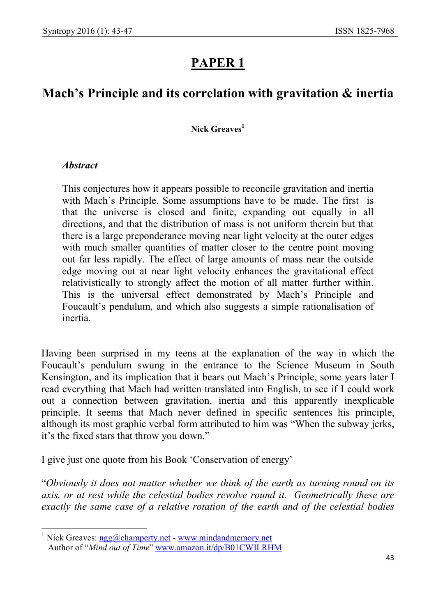# PAPER 1

# Mach's Principle and its correlation with gravitation & inertia

#### Nick Greaves<sup>1</sup>

#### **Abstract**

-

This conjectures how it appears possible to reconcile gravitation and inertia with Mach's Principle. Some assumptions have to be made. The first is that the universe is closed and finite, expanding out equally in all directions, and that the distribution of mass is not uniform therein but that there is a large preponderance moving near light velocity at the outer edges with much smaller quantities of matter closer to the centre point moving out far less rapidly. The effect of large amounts of mass near the outside edge moving out at near light velocity enhances the gravitational effect relativistically to strongly affect the motion of all matter further within. This is the universal effect demonstrated by Mach's Principle and Foucault's pendulum, and which also suggests a simple rationalisation of inertia.

Having been surprised in my teens at the explanation of the way in which the Foucault's pendulum swung in the entrance to the Science Museum in South Kensington, and its implication that it bears out Mach's Principle, some years later I read everything that Mach had written translated into English, to see if I could work out a connection between gravitation, inertia and this apparently inexplicable principle. It seems that Mach never defined in specific sentences his principle, although its most graphic verbal form attributed to him was "When the subway jerks, it's the fixed stars that throw you down."

I give just one quote from his Book 'Conservation of energy'

"Obviously it does not matter whether we think of the earth as turning round on its axis, or at rest while the celestial bodies revolve round it. Geometrically these are exactly the same case of a relative rotation of the earth and of the celestial bodies

<sup>&</sup>lt;sup>1</sup> Nick Greaves: ngg@champerty.net - www.mindandmemory.net Author of "Mind out of Time" www.amazon.it/dp/B01CWILRHM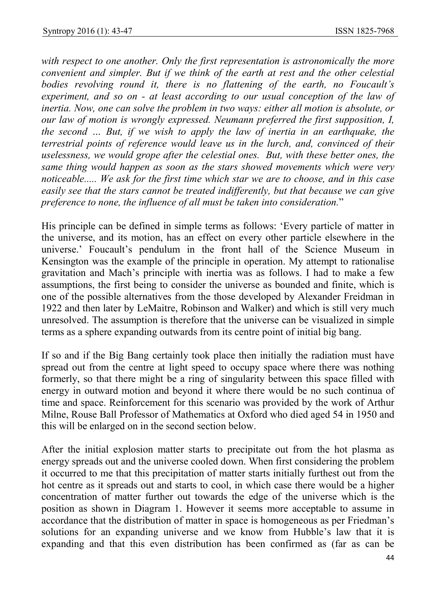with respect to one another. Only the first representation is astronomically the more convenient and simpler. But if we think of the earth at rest and the other celestial bodies revolving round it, there is no flattening of the earth, no Foucault's experiment, and so on - at least according to our usual conception of the law of inertia. Now, one can solve the problem in two ways: either all motion is absolute, or our law of motion is wrongly expressed. Neumann preferred the first supposition, I, the second … But, if we wish to apply the law of inertia in an earthquake, the terrestrial points of reference would leave us in the lurch, and, convinced of their uselessness, we would grope after the celestial ones. But, with these better ones, the same thing would happen as soon as the stars showed movements which were very noticeable..... We ask for the first time which star we are to choose, and in this case easily see that the stars cannot be treated indifferently, but that because we can give preference to none, the influence of all must be taken into consideration."

His principle can be defined in simple terms as follows: 'Every particle of matter in the universe, and its motion, has an effect on every other particle elsewhere in the universe.' Foucault's pendulum in the front hall of the Science Museum in Kensington was the example of the principle in operation. My attempt to rationalise gravitation and Mach's principle with inertia was as follows. I had to make a few assumptions, the first being to consider the universe as bounded and finite, which is one of the possible alternatives from the those developed by Alexander Freidman in 1922 and then later by LeMaitre, Robinson and Walker) and which is still very much unresolved. The assumption is therefore that the universe can be visualized in simple terms as a sphere expanding outwards from its centre point of initial big bang.

If so and if the Big Bang certainly took place then initially the radiation must have spread out from the centre at light speed to occupy space where there was nothing formerly, so that there might be a ring of singularity between this space filled with energy in outward motion and beyond it where there would be no such continua of time and space. Reinforcement for this scenario was provided by the work of Arthur Milne, Rouse Ball Professor of Mathematics at Oxford who died aged 54 in 1950 and this will be enlarged on in the second section below.

After the initial explosion matter starts to precipitate out from the hot plasma as energy spreads out and the universe cooled down. When first considering the problem it occurred to me that this precipitation of matter starts initially furthest out from the hot centre as it spreads out and starts to cool, in which case there would be a higher concentration of matter further out towards the edge of the universe which is the position as shown in Diagram 1. However it seems more acceptable to assume in accordance that the distribution of matter in space is homogeneous as per Friedman's solutions for an expanding universe and we know from Hubble's law that it is expanding and that this even distribution has been confirmed as (far as can be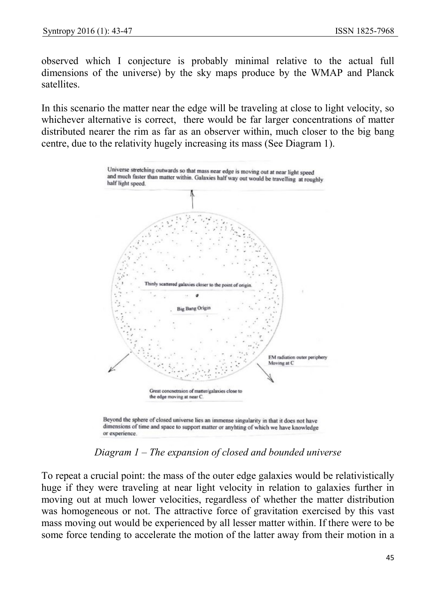observed which I conjecture is probably minimal relative to the actual full dimensions of the universe) by the sky maps produce by the WMAP and Planck satellites.

In this scenario the matter near the edge will be traveling at close to light velocity, so whichever alternative is correct, there would be far larger concentrations of matter distributed nearer the rim as far as an observer within, much closer to the big bang centre, due to the relativity hugely increasing its mass (See Diagram 1).



Diagram 1 – The expansion of closed and bounded universe

To repeat a crucial point: the mass of the outer edge galaxies would be relativistically huge if they were traveling at near light velocity in relation to galaxies further in moving out at much lower velocities, regardless of whether the matter distribution was homogeneous or not. The attractive force of gravitation exercised by this vast mass moving out would be experienced by all lesser matter within. If there were to be some force tending to accelerate the motion of the latter away from their motion in a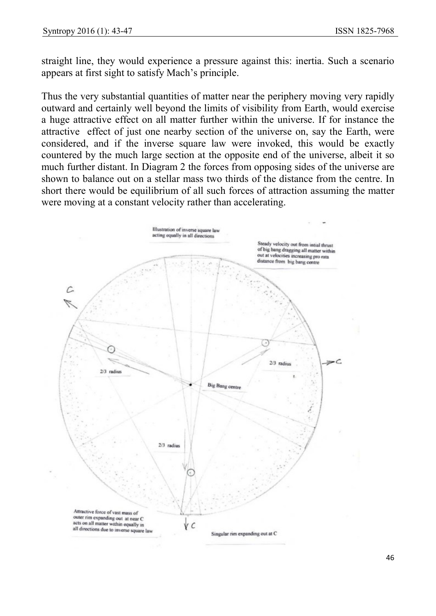straight line, they would experience a pressure against this: inertia. Such a scenario appears at first sight to satisfy Mach's principle.

Thus the very substantial quantities of matter near the periphery moving very rapidly outward and certainly well beyond the limits of visibility from Earth, would exercise a huge attractive effect on all matter further within the universe. If for instance the attractive effect of just one nearby section of the universe on, say the Earth, were considered, and if the inverse square law were invoked, this would be exactly countered by the much large section at the opposite end of the universe, albeit it so much further distant. In Diagram 2 the forces from opposing sides of the universe are shown to balance out on a stellar mass two thirds of the distance from the centre. In short there would be equilibrium of all such forces of attraction assuming the matter were moving at a constant velocity rather than accelerating.